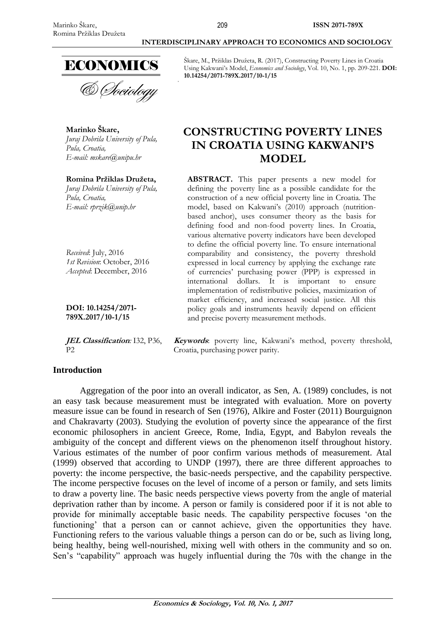**Marinko Škare,**

*Pula, Croatia,*

*Pula, Croatia,*



*Juraj Dobrila University of Pula,* 

**Romina Pržiklas Družeta,** *Juraj Dobrila University of Pula,* 

*E-mail: [mskare@unipu.hr](mailto:mskare@unipu.hr)*

*E-mail: rprzik@unip.hr*

*Received*: July, 2016

*1st Revision*: October, 2016 *Accepted*: December, 2016

### **INTERDISCIPLINARY APPROACH TO ECONOMICS AND SOCIOLOGY**

Škare, M., Pržiklas Družeta, R. (2017), Constructing Poverty Lines in Croatia Using Kakwani's Model, *Economics and Sociology*, Vol. 10, No. 1, pp. 209-221. **DOI: 10.14254/2071-789X.2017/10-1/15**

# **CONSTRUCTING POVERTY LINES IN CROATIA USING KAKWANI'S MODEL**

**ABSTRACT.** This paper presents a new model for defining the poverty line as a possible candidate for the construction of a new official poverty line in Croatia. The model, based on Kakwani's (2010) approach (nutritionbased anchor), uses consumer theory as the basis for defining food and non-food poverty lines. In Croatia, various alternative poverty indicators have been developed to define the official poverty line. To ensure international comparability and consistency, the poverty threshold expressed in local currency by applying the exchange rate of currencies' purchasing power (PPP) is expressed in international dollars. It is important to ensure implementation of redistributive policies, maximization of market efficiency, and increased social justice. All this policy goals and instruments heavily depend on efficient and precise poverty measurement methods.

**789X.2017/10-1/15 JEL Classification***:* I32, P36,

**DOI: 10.14254/2071-**

 $\mathbf{p}$ 

**Introduction**

**Keywords**: poverty line, Kakwani's method, poverty threshold, Croatia, purchasing power parity.

Aggregation of the poor into an overall indicator, as Sen, A. (1989) concludes, is not an easy task because measurement must be integrated with evaluation. More on poverty measure issue can be found in research of Sen (1976), Alkire and Foster (2011) Bourguignon and Chakravarty (2003). Studying the evolution of poverty since the appearance of the first economic philosophers in ancient Greece, Rome, India, Egypt, and Babylon reveals the ambiguity of the concept and different views on the phenomenon itself throughout history. Various estimates of the number of poor confirm various methods of measurement. Atal (1999) observed that according to UNDP (1997), there are three different approaches to poverty: the income perspective, the basic-needs perspective, and the capability perspective. The income perspective focuses on the level of income of a person or family, and sets limits to draw a poverty line. The basic needs perspective views poverty from the angle of material deprivation rather than by income. A person or family is considered poor if it is not able to provide for minimally acceptable basic needs. The capability perspective focuses 'on the functioning' that a person can or cannot achieve, given the opportunities they have. Functioning refers to the various valuable things a person can do or be, such as living long, being healthy, being well-nourished, mixing well with others in the community and so on. Sen's "capability" approach was hugely influential during the 70s with the change in the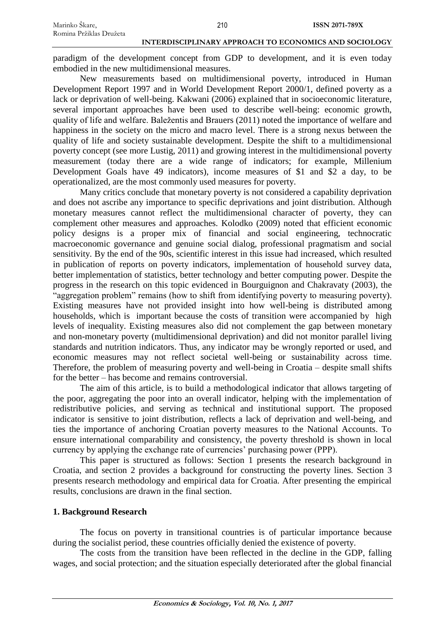paradigm of the development concept from GDP to development, and it is even today embodied in the new multidimensional measures.

New measurements based on multidimensional poverty, introduced in Human Development Report 1997 and in World Development Report 2000/1, defined poverty as a lack or deprivation of well-being. Kakwani (2006) explained that in socioeconomic literature, several important approaches have been used to describe well-being: economic growth, quality of life and welfare. Baležentis and Brauers (2011) noted the importance of welfare and happiness in the society on the micro and macro level. There is a strong nexus between the quality of life and society sustainable development. Despite the shift to a multidimensional poverty concept (see more Lustig, 2011) and growing interest in the multidimensional poverty measurement (today there are a wide range of indicators; for example, Millenium Development Goals have 49 indicators), income measures of \$1 and \$2 a day, to be operationalized, are the most commonly used measures for poverty.

Many critics conclude that monetary poverty is not considered a capability deprivation and does not ascribe any importance to specific deprivations and joint distribution. Although monetary measures cannot reflect the multidimensional character of poverty, they can complement other measures and approaches. Kolodko (2009) noted that efficient economic policy designs is a proper mix of financial and social engineering, technocratic macroeconomic governance and genuine social dialog, professional pragmatism and social sensitivity. By the end of the 90s, scientific interest in this issue had increased, which resulted in publication of reports on poverty indicators, implementation of household survey data, better implementation of statistics, better technology and better computing power. Despite the progress in the research on this topic evidenced in Bourguignon and Chakravaty (2003), the "aggregation problem" remains (how to shift from identifying poverty to measuring poverty). Existing measures have not provided insight into how well-being is distributed among households, which is important because the costs of transition were accompanied by high levels of inequality. Existing measures also did not complement the gap between monetary and non-monetary poverty (multidimensional deprivation) and did not monitor parallel living standards and nutrition indicators. Thus, any indicator may be wrongly reported or used, and economic measures may not reflect societal well-being or sustainability across time. Therefore, the problem of measuring poverty and well-being in Croatia – despite small shifts for the better – has become and remains controversial.

The aim of this article, is to build a methodological indicator that allows targeting of the poor, aggregating the poor into an overall indicator, helping with the implementation of redistributive policies, and serving as technical and institutional support. The proposed indicator is sensitive to joint distribution, reflects a lack of deprivation and well-being, and ties the importance of anchoring Croatian poverty measures to the National Accounts. To ensure international comparability and consistency, the poverty threshold is shown in local currency by applying the exchange rate of currencies' purchasing power (PPP).

This paper is structured as follows: Section 1 presents the research background in Croatia, and section 2 provides a background for constructing the poverty lines. Section 3 presents research methodology and empirical data for Croatia. After presenting the empirical results, conclusions are drawn in the final section.

## **1. Background Research**

The focus on poverty in transitional countries is of particular importance because during the socialist period, these countries officially denied the existence of poverty.

The costs from the transition have been reflected in the decline in the GDP, falling wages, and social protection; and the situation especially deteriorated after the global financial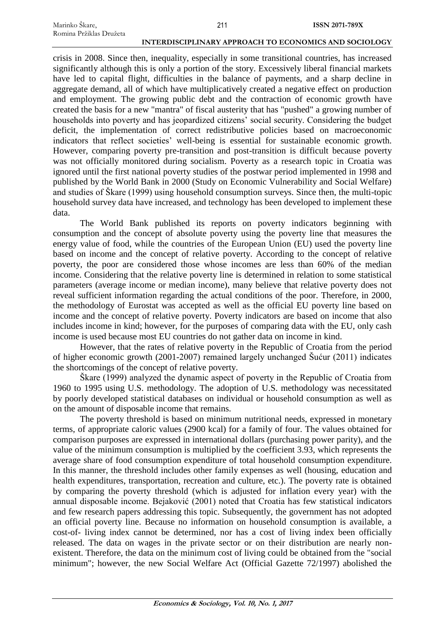crisis in 2008. Since then, inequality, especially in some transitional countries, has increased significantly although this is only a portion of the story. Excessively liberal financial markets have led to capital flight, difficulties in the balance of payments, and a sharp decline in aggregate demand, all of which have multiplicatively created a negative effect on production and employment. The growing public debt and the contraction of economic growth have created the basis for a new "mantra" of fiscal austerity that has "pushed" a growing number of households into poverty and has jeopardized citizens' social security. Considering the budget deficit, the implementation of correct redistributive policies based on macroeconomic indicators that reflect societies' well-being is essential for sustainable economic growth. However, comparing poverty pre-transition and post-transition is difficult because poverty was not officially monitored during socialism. Poverty as a research topic in Croatia was ignored until the first national poverty studies of the postwar period implemented in 1998 and published by the World Bank in 2000 (Study on Economic Vulnerability and Social Welfare) and studies of Škare (1999) using household consumption surveys. Since then, the multi-topic household survey data have increased, and technology has been developed to implement these data.

The World Bank published its reports on poverty indicators beginning with consumption and the concept of absolute poverty using the poverty line that measures the energy value of food, while the countries of the European Union (EU) used the poverty line based on income and the concept of relative poverty. According to the concept of relative poverty, the poor are considered those whose incomes are less than 60% of the median income. Considering that the relative poverty line is determined in relation to some statistical parameters (average income or median income), many believe that relative poverty does not reveal sufficient information regarding the actual conditions of the poor. Therefore, in 2000, the methodology of Eurostat was accepted as well as the official EU poverty line based on income and the concept of relative poverty. Poverty indicators are based on income that also includes income in kind; however, for the purposes of comparing data with the EU, only cash income is used because most EU countries do not gather data on income in kind.

However, that the rates of relative poverty in the Republic of Croatia from the period of higher economic growth (2001-2007) remained largely unchanged Šućur (2011) indicates the shortcomings of the concept of relative poverty.

Škare (1999) analyzed the dynamic aspect of poverty in the Republic of Croatia from 1960 to 1995 using U.S. methodology. The adoption of U.S. methodology was necessitated by poorly developed statistical databases on individual or household consumption as well as on the amount of disposable income that remains.

The poverty threshold is based on minimum nutritional needs, expressed in monetary terms, of appropriate caloric values (2900 kcal) for a family of four. The values obtained for comparison purposes are expressed in international dollars (purchasing power parity), and the value of the minimum consumption is multiplied by the coefficient 3.93, which represents the average share of food consumption expenditure of total household consumption expenditure. In this manner, the threshold includes other family expenses as well (housing, education and health expenditures, transportation, recreation and culture, etc.). The poverty rate is obtained by comparing the poverty threshold (which is adjusted for inflation every year) with the annual disposable income. Bejaković (2001) noted that Croatia has few statistical indicators and few research papers addressing this topic. Subsequently, the government has not adopted an official poverty line. Because no information on household consumption is available, a cost-of- living index cannot be determined, nor has a cost of living index been officially released. The data on wages in the private sector or on their distribution are nearly nonexistent. Therefore, the data on the minimum cost of living could be obtained from the "social minimum"; however, the new Social Welfare Act (Official Gazette 72/1997) abolished the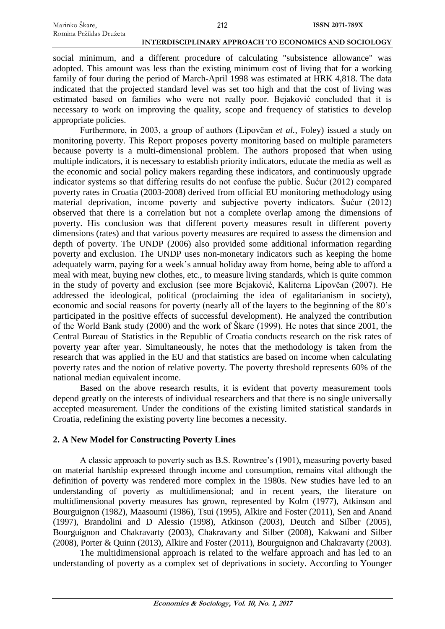social minimum, and a different procedure of calculating "subsistence allowance" was adopted. This amount was less than the existing minimum cost of living that for a working family of four during the period of March-April 1998 was estimated at HRK 4,818. The data indicated that the projected standard level was set too high and that the cost of living was estimated based on families who were not really poor. Bejaković concluded that it is necessary to work on improving the quality, scope and frequency of statistics to develop appropriate policies.

Furthermore, in 2003, a group of authors (Lipovčan *et al.*, Foley) issued a study on monitoring poverty. This Report proposes poverty monitoring based on multiple parameters because poverty is a multi-dimensional problem. The authors proposed that when using multiple indicators, it is necessary to establish priority indicators, educate the media as well as the economic and social policy makers regarding these indicators, and continuously upgrade indicator systems so that differing results do not confuse the public. Šućur (2012) compared poverty rates in Croatia (2003-2008) derived from official EU monitoring methodology using material deprivation, income poverty and subjective poverty indicators. Šućur (2012) observed that there is a correlation but not a complete overlap among the dimensions of poverty. His conclusion was that different poverty measures result in different poverty dimensions (rates) and that various poverty measures are required to assess the dimension and depth of poverty. The UNDP (2006) also provided some additional information regarding poverty and exclusion. The UNDP uses non-monetary indicators such as keeping the home adequately warm, paying for a week's annual holiday away from home, being able to afford a meal with meat, buying new clothes, etc., to measure living standards, which is quite common in the study of poverty and exclusion (see more Bejaković, Kaliterna Lipovčan (2007). He addressed the ideological, political (proclaiming the idea of egalitarianism in society), economic and social reasons for poverty (nearly all of the layers to the beginning of the 80's participated in the positive effects of successful development). He analyzed the contribution of the World Bank study (2000) and the work of Škare (1999). He notes that since 2001, the Central Bureau of Statistics in the Republic of Croatia conducts research on the risk rates of poverty year after year. Simultaneously, he notes that the methodology is taken from the research that was applied in the EU and that statistics are based on income when calculating poverty rates and the notion of relative poverty. The poverty threshold represents 60% of the national median equivalent income.

Based on the above research results, it is evident that poverty measurement tools depend greatly on the interests of individual researchers and that there is no single universally accepted measurement. Under the conditions of the existing limited statistical standards in Croatia, redefining the existing poverty line becomes a necessity.

## **2. A New Model for Constructing Poverty Lines**

A classic approach to poverty such as B.S. Rowntree's (1901), measuring poverty based on material hardship expressed through income and consumption, remains vital although the definition of poverty was rendered more complex in the 1980s. New studies have led to an understanding of poverty as multidimensional; and in recent years, the literature on multidimensional poverty measures has grown, represented by Kolm (1977), Atkinson and Bourguignon (1982), Maasoumi (1986), Tsui (1995), Alkire and Foster (2011), Sen and Anand (1997), Brandolini and D Alessio (1998), Atkinson (2003), Deutch and Silber (2005), Bourguignon and Chakravarty (2003), Chakravarty and Silber (2008), Kakwani and Silber (2008), Porter & Quinn (2013), Alkire and Foster (2011), Bourguignon and Chakravarty (2003).

The multidimensional approach is related to the welfare approach and has led to an understanding of poverty as a complex set of deprivations in society. According to Younger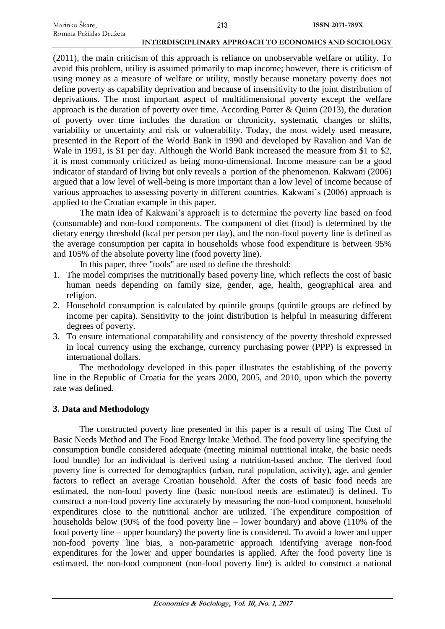(2011), the main criticism of this approach is reliance on unobservable welfare or utility. To avoid this problem, utility is assumed primarily to map income; however, there is criticism of using money as a measure of welfare or utility, mostly because monetary poverty does not define poverty as capability deprivation and because of insensitivity to the joint distribution of deprivations. The most important aspect of multidimensional poverty except the welfare approach is the duration of poverty over time. According Porter & Quinn (2013), the duration of poverty over time includes the duration or chronicity, systematic changes or shifts, variability or uncertainty and risk or vulnerability. Today, the most widely used measure, presented in the Report of the World Bank in 1990 and developed by Ravalion and Van de Wale in 1991, is \$1 per day. Although the World Bank increased the measure from \$1 to \$2, it is most commonly criticized as being mono-dimensional. Income measure can be a good indicator of standard of living but only reveals a portion of the phenomenon. Kakwani (2006) argued that a low level of well-being is more important than a low level of income because of various approaches to assessing poverty in different countries. Kakwani's (2006) approach is applied to the Croatian example in this paper.

The main idea of Kakwani's approach is to determine the poverty line based on food (consumable) and non-food components. The component of diet (food) is determined by the dietary energy threshold (kcal per person per day), and the non-food poverty line is defined as the average consumption per capita in households whose food expenditure is between 95% and 105% of the absolute poverty line (food poverty line).

In this paper, three "tools" are used to define the threshold:

- 1. The model comprises the nutritionally based poverty line, which reflects the cost of basic human needs depending on family size, gender, age, health, geographical area and religion.
- 2. Household consumption is calculated by quintile groups (quintile groups are defined by income per capita). Sensitivity to the joint distribution is helpful in measuring different degrees of poverty.
- 3. To ensure international comparability and consistency of the poverty threshold expressed in local currency using the exchange, currency purchasing power (PPP) is expressed in international dollars.

The methodology developed in this paper illustrates the establishing of the poverty line in the Republic of Croatia for the years 2000, 2005, and 2010, upon which the poverty rate was defined.

## **3. Data and Methodology**

The constructed poverty line presented in this paper is a result of using The Cost of Basic Needs Method and The Food Energy Intake Method. The food poverty line specifying the consumption bundle considered adequate (meeting minimal nutritional intake, the basic needs food bundle) for an individual is derived using a nutrition-based anchor. The derived food poverty line is corrected for demographics (urban, rural population, activity), age, and gender factors to reflect an average Croatian household. After the costs of basic food needs are estimated, the non-food poverty line (basic non-food needs are estimated) is defined. To construct a non-food poverty line accurately by measuring the non-food component, household expenditures close to the nutritional anchor are utilized. The expenditure composition of households below (90% of the food poverty line – lower boundary) and above (110% of the food poverty line – upper boundary) the poverty line is considered. To avoid a lower and upper non-food poverty line bias, a non-parametric approach identifying average non-food expenditures for the lower and upper boundaries is applied. After the food poverty line is estimated, the non-food component (non-food poverty line) is added to construct a national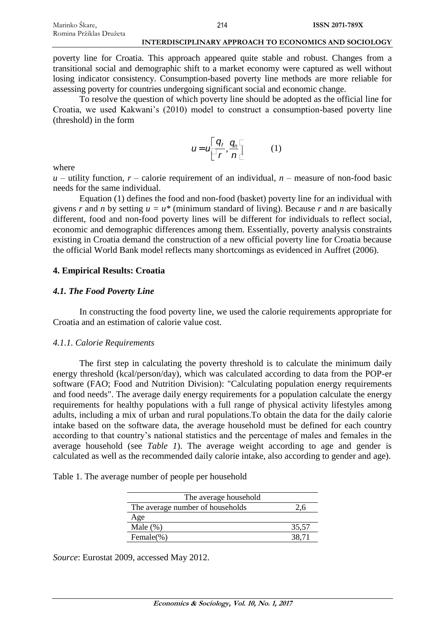poverty line for Croatia. This approach appeared quite stable and robust. Changes from a transitional social and demographic shift to a market economy were captured as well without losing indicator consistency. Consumption-based poverty line methods are more reliable for assessing poverty for countries undergoing significant social and economic change.

To resolve the question of which poverty line should be adopted as the official line for Croatia, we used Kakwani's (2010) model to construct a consumption-based poverty line (threshold) in the form

$$
u = u \begin{bmatrix} q_f & q_h \\ \hline r & n \end{bmatrix} \qquad (1)
$$

where

 $u$  – utility function,  $r$  – calorie requirement of an individual,  $n$  – measure of non-food basic needs for the same individual.

Equation (1) defines the food and non-food (basket) poverty line for an individual with givens *r* and *n* by setting  $u = u^*$  (minimum standard of living). Because *r* and *n* are basically different, food and non-food poverty lines will be different for individuals to reflect social, economic and demographic differences among them. Essentially, poverty analysis constraints existing in Croatia demand the construction of a new official poverty line for Croatia because the official World Bank model reflects many shortcomings as evidenced in Auffret (2006).

# **4. Empirical Results: Croatia**

## *4.1. The Food Poverty Line*

In constructing the food poverty line, we used the calorie requirements appropriate for Croatia and an estimation of calorie value cost.

## *4.1.1. Calorie Requirements*

The first step in calculating the poverty threshold is to calculate the minimum daily energy threshold (kcal/person/day), which was calculated according to data from the POP-er software (FAO; Food and Nutrition Division): "Calculating population energy requirements and food needs". The average daily energy requirements for a population calculate the energy requirements for healthy populations with a full range of physical activity lifestyles among adults, including a mix of urban and rural populations.To obtain the data for the daily calorie intake based on the software data, the average household must be defined for each country according to that country's national statistics and the percentage of males and females in the average household (see *Table 1*). The average weight according to age and gender is calculated as well as the recommended daily calorie intake, also according to gender and age).

| The average household            |       |
|----------------------------------|-------|
| The average number of households |       |
| Age                              |       |
| Male $(\%)$                      | 35,57 |
| Female $(\%)$                    | 38.71 |

*Source*: Eurostat 2009, accessed May 2012.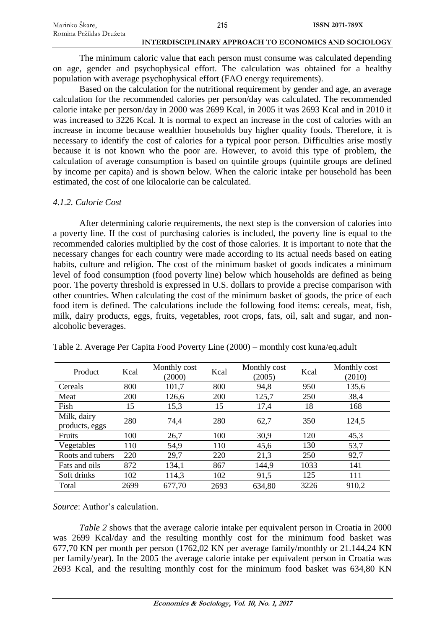| Marinko Škare,          | 215 | <b>ISSN 2071-789X</b> |
|-------------------------|-----|-----------------------|
| Romina Pržiklas Družeta |     |                       |

The minimum caloric value that each person must consume was calculated depending on age, gender and psychophysical effort. The calculation was obtained for a healthy population with average psychophysical effort (FAO energy requirements).

Based on the calculation for the nutritional requirement by gender and age, an average calculation for the recommended calories per person/day was calculated. The recommended calorie intake per person/day in 2000 was 2699 Kcal, in 2005 it was 2693 Kcal and in 2010 it was increased to 3226 Kcal. It is normal to expect an increase in the cost of calories with an increase in income because wealthier households buy higher quality foods. Therefore, it is necessary to identify the cost of calories for a typical poor person. Difficulties arise mostly because it is not known who the poor are. However, to avoid this type of problem, the calculation of average consumption is based on quintile groups (quintile groups are defined by income per capita) and is shown below. When the caloric intake per household has been estimated, the cost of one kilocalorie can be calculated.

### *4.1.2. Calorie Cost*

After determining calorie requirements, the next step is the conversion of calories into a poverty line. If the cost of purchasing calories is included, the poverty line is equal to the recommended calories multiplied by the cost of those calories. It is important to note that the necessary changes for each country were made according to its actual needs based on eating habits, culture and religion. The cost of the minimum basket of goods indicates a minimum level of food consumption (food poverty line) below which households are defined as being poor. The poverty threshold is expressed in U.S. dollars to provide a precise comparison with other countries. When calculating the cost of the minimum basket of goods, the price of each food item is defined. The calculations include the following food items: cereals, meat, fish, milk, dairy products, eggs, fruits, vegetables, root crops, fats, oil, salt and sugar, and nonalcoholic beverages.

| Product                       | Kcal | Monthly cost<br>(2000) | Kcal | Monthly cost<br>(2005) | Kcal | Monthly cost<br>(2010) |
|-------------------------------|------|------------------------|------|------------------------|------|------------------------|
| Cereals                       | 800  | 101,7                  | 800  | 94,8                   | 950  | 135,6                  |
| Meat                          | 200  | 126,6                  | 200  | 125,7                  | 250  | 38,4                   |
| Fish                          | 15   | 15,3                   | 15   | 17,4                   | 18   | 168                    |
| Milk, dairy<br>products, eggs | 280  | 74,4                   | 280  | 62,7                   | 350  | 124,5                  |
| Fruits                        | 100  | 26,7                   | 100  | 30,9                   | 120  | 45,3                   |
| Vegetables                    | 110  | 54,9                   | 110  | 45,6                   | 130  | 53,7                   |
| Roots and tubers              | 220  | 29,7                   | 220  | 21,3                   | 250  | 92,7                   |
| Fats and oils                 | 872  | 134,1                  | 867  | 144,9                  | 1033 | 141                    |
| Soft drinks                   | 102  | 114,3                  | 102  | 91,5                   | 125  | 111                    |
| Total                         | 2699 | 677,70                 | 2693 | 634,80                 | 3226 | 910,2                  |

Table 2. Average Per Capita Food Poverty Line (2000) – monthly cost kuna/eq.adult

*Source*: Author's calculation.

*Table 2* shows that the average calorie intake per equivalent person in Croatia in 2000 was 2699 Kcal/day and the resulting monthly cost for the minimum food basket was 677,70 KN per month per person (1762,02 KN per average family/monthly or 21.144,24 KN per family/year). In the 2005 the average calorie intake per equivalent person in Croatia was 2693 Kcal, and the resulting monthly cost for the minimum food basket was 634,80 KN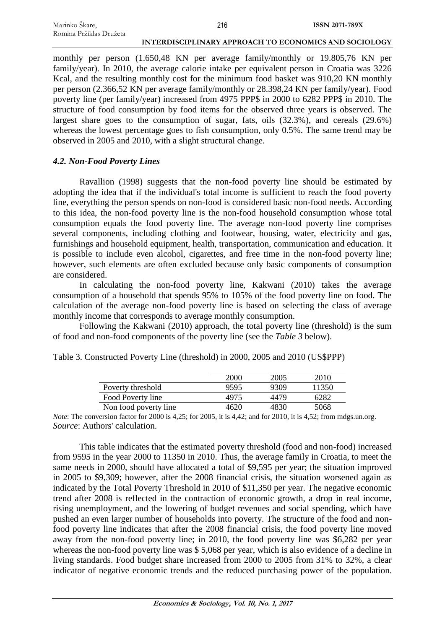| Marinko Škare,          | 216                                                   | <b>ISSN 2071-789X</b> |
|-------------------------|-------------------------------------------------------|-----------------------|
| Romina Pržiklas Družeta |                                                       |                       |
|                         | INTERDISCIPLINARY APPROACH TO ECONOMICS AND SOCIOLOGY |                       |

monthly per person (1.650,48 KN per average family/monthly or 19.805,76 KN per family/year). In 2010, the average calorie intake per equivalent person in Croatia was 3226 Kcal, and the resulting monthly cost for the minimum food basket was 910,20 KN monthly per person (2.366,52 KN per average family/monthly or 28.398,24 KN per family/year). Food poverty line (per family/year) increased from 4975 PPP\$ in 2000 to 6282 PPP\$ in 2010. The structure of food consumption by food items for the observed three years is observed. The largest share goes to the consumption of sugar, fats, oils (32.3%), and cereals (29.6%) whereas the lowest percentage goes to fish consumption, only 0.5%. The same trend may be observed in 2005 and 2010, with a slight structural change.

# *4.2. Non-Food Poverty Lines*

Ravallion (1998) suggests that the non-food poverty line should be estimated by adopting the idea that if the individual's total income is sufficient to reach the food poverty line, everything the person spends on non-food is considered basic non-food needs. According to this idea, the non-food poverty line is the non-food household consumption whose total consumption equals the food poverty line. The average non-food poverty line comprises several components, including clothing and footwear, housing, water, electricity and gas, furnishings and household equipment, health, transportation, communication and education. It is possible to include even alcohol, cigarettes, and free time in the non-food poverty line; however, such elements are often excluded because only basic components of consumption are considered.

In calculating the non-food poverty line, Kakwani (2010) takes the average consumption of a household that spends 95% to 105% of the food poverty line on food. The calculation of the average non-food poverty line is based on selecting the class of average monthly income that corresponds to average monthly consumption.

Following the Kakwani (2010) approach, the total poverty line (threshold) is the sum of food and non-food components of the poverty line (see the *Table 3* below).

|                       | 2000 | 2005 | 2010  |
|-----------------------|------|------|-------|
| Poverty threshold     | 9595 | 9309 | 11350 |
| Food Poverty line     | 4975 | 4479 | 6282  |
| Non food poverty line | 4620 | 4830 | 5068  |

Table 3. Constructed Poverty Line (threshold) in 2000, 2005 and 2010 (US\$PPP)

*Note*: The conversion factor for 2000 is 4,25; for 2005, it is 4,42; and for 2010, it is 4,52; from mdgs.un.org. *Source*: Authors' calculation.

This table indicates that the estimated poverty threshold (food and non-food) increased from 9595 in the year 2000 to 11350 in 2010. Thus, the average family in Croatia, to meet the same needs in 2000, should have allocated a total of \$9,595 per year; the situation improved in 2005 to \$9,309; however, after the 2008 financial crisis, the situation worsened again as indicated by the Total Poverty Threshold in 2010 of \$11,350 per year. The negative economic trend after 2008 is reflected in the contraction of economic growth, a drop in real income, rising unemployment, and the lowering of budget revenues and social spending, which have pushed an even larger number of households into poverty. The structure of the food and nonfood poverty line indicates that after the 2008 financial crisis, the food poverty line moved away from the non-food poverty line; in 2010, the food poverty line was \$6,282 per year whereas the non-food poverty line was \$ 5,068 per year, which is also evidence of a decline in living standards. Food budget share increased from 2000 to 2005 from 31% to 32%, a clear indicator of negative economic trends and the reduced purchasing power of the population.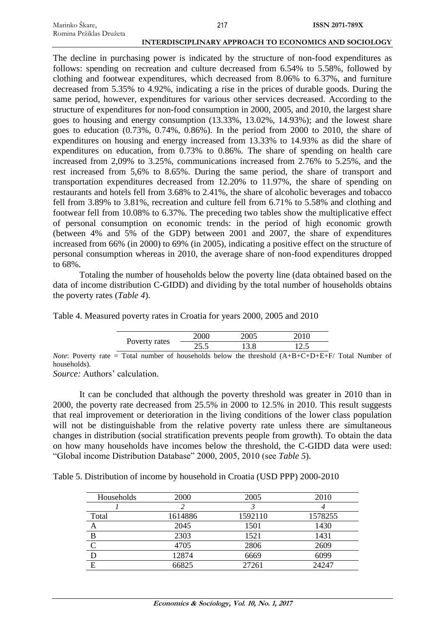| Marinko Škare,          | 217                                                   | ISSN 2071-789X |
|-------------------------|-------------------------------------------------------|----------------|
| Romina Pržiklas Družeta |                                                       |                |
|                         | INTERDISCIPLINARY APPROACH TO ECONOMICS AND SOCIOLOGY |                |

The decline in purchasing power is indicated by the structure of non-food expenditures as follows: spending on recreation and culture decreased from 6.54% to 5.58%, followed by clothing and footwear expenditures, which decreased from 8.06% to 6.37%, and furniture decreased from 5.35% to 4.92%, indicating a rise in the prices of durable goods. During the same period, however, expenditures for various other services decreased. According to the structure of expenditures for non-food consumption in 2000, 2005, and 2010, the largest share goes to housing and energy consumption (13.33%, 13.02%, 14.93%); and the lowest share goes to education (0.73%, 0.74%, 0.86%). In the period from 2000 to 2010, the share of expenditures on housing and energy increased from 13.33% to 14.93% as did the share of expenditures on education, from 0.73% to 0.86%. The share of spending on health care increased from 2,09% to 3.25%, communications increased from 2.76% to 5.25%, and the rest increased from 5,6% to 8.65%. During the same period, the share of transport and transportation expenditures decreased from 12.20% to 11.97%, the share of spending on restaurants and hotels fell from 3.68% to 2.41%, the share of alcoholic beverages and tobacco fell from 3.89% to 3.81%, recreation and culture fell from 6.71% to 5.58% and clothing and footwear fell from 10.08% to 6.37%. The preceding two tables show the multiplicative effect of personal consumption on economic trends: in the period of high economic growth (between 4% and 5% of the GDP) between 2001 and 2007, the share of expenditures increased from 66% (in 2000) to 69% (in 2005), indicating a positive effect on the structure of personal consumption whereas in 2010, the average share of non-food expenditures dropped to 68%.

Totaling the number of households below the poverty line (data obtained based on the data of income distribution C-GIDD) and dividing by the total number of households obtains the poverty rates (*Table 4*).

Table 4. Measured poverty rates in Croatia for years 2000, 2005 and 2010

|               | 2000  | 2005 |     |
|---------------|-------|------|-----|
| Poverty rates | ن. ر∠ | l3.8 | ن ک |

*Note*: Poverty rate  $=$  Total number of households below the threshold  $(A+B+C+D+E+F/T$  otal Number of households).

*Source:* Authors' calculation.

It can be concluded that although the poverty threshold was greater in 2010 than in 2000, the poverty rate decreased from 25.5% in 2000 to 12.5% in 2010. This result suggests that real improvement or deterioration in the living conditions of the lower class population will not be distinguishable from the relative poverty rate unless there are simultaneous changes in distribution (social stratification prevents people from growth). To obtain the data on how many households have incomes below the threshold, the C-GIDD data were used: "Global income Distribution Database" 2000, 2005, 2010 (see *Table 5*).

Table 5. Distribution of income by household in Croatia (USD PPP) 2000-2010

| Households | 2000    | 2005    | 2010    |
|------------|---------|---------|---------|
|            |         |         |         |
| Total      | 1614886 | 1592110 | 1578255 |
|            | 2045    | 1501    | 1430    |
|            | 2303    | 1521    | 1431    |
|            | 4705    | 2806    | 2609    |
|            | 12874   | 6669    | 6099    |
| E          | 66825   | 27261   | 24247   |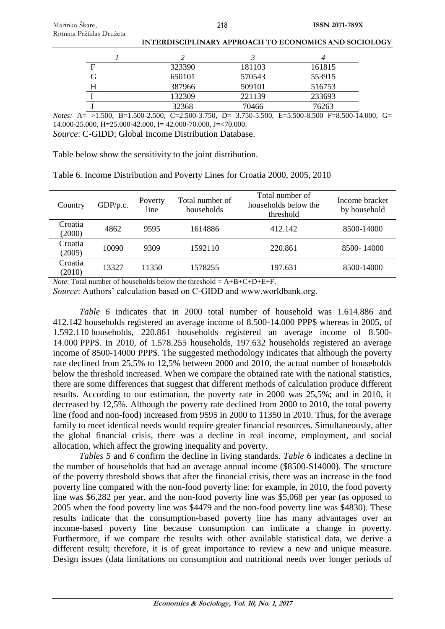| 323390 | 181103 | 161815 |
|--------|--------|--------|
| 650101 | 570543 | 553915 |
| 387966 | 509101 | 516753 |
| 132309 | 221139 | 233693 |
| 32368  | 70466  | 76263  |
|        |        |        |

*Notes:* A= >1.500, B=1.500-2.500, C=2.500-3.750, D= 3.750-5.500, E=5.500-8.500 F=8.500-14.000, G= 14.000-25.000, H=25.000-42.000, I= 42.000-70.000, J=<70.000. *Source*: C-GIDD; Global Income Distribution Database.

Table below show the sensitivity to the joint distribution.

| Country           | GDP/p.c. | Poverty<br>line | Total number of<br>households | Total number of<br>households below the<br>threshold | Income bracket<br>by household |
|-------------------|----------|-----------------|-------------------------------|------------------------------------------------------|--------------------------------|
| Croatia<br>(2000) | 4862     | 9595            | 1614886                       | 412.142                                              | 8500-14000                     |
| Croatia<br>(2005) | 10090    | 9309            | 1592110                       | 220.861                                              | 8500-14000                     |
| Croatia<br>(2010) | 13327    | 11350           | 1578255                       | 197.631                                              | 8500-14000                     |

Table 6. Income Distribution and Poverty Lines for Croatia 2000, 2005, 2010

*Note*: Total number of households below the threshold  $= A+B+C+D+E+F$ .

*Source*: Authors' calculation based on C-GIDD and www.worldbank.org.

*Table 6* indicates that in 2000 total number of household was 1.614.886 and 412.142 households registered an average income of 8.500-14.000 PPP\$ whereas in 2005, of 1.592.110 households, 220.861 households registered an average income of 8.500- 14.000 PPP\$. In 2010, of 1.578.255 households, 197.632 households registered an average income of 8500-14000 PPP\$. The suggested methodology indicates that although the poverty rate declined from 25,5% to 12,5% between 2000 and 2010, the actual number of households below the threshold increased. When we compare the obtained rate with the national statistics, there are some differences that suggest that different methods of calculation produce different results. According to our estimation, the poverty rate in 2000 was 25,5%; and in 2010, it decreased by 12,5%. Although the poverty rate declined from 2000 to 2010, the total poverty line (food and non-food) increased from 9595 in 2000 to 11350 in 2010. Thus, for the average family to meet identical needs would require greater financial resources. Simultaneously, after the global financial crisis, there was a decline in real income, employment, and social allocation, which affect the growing inequality and poverty.

*Tables 5* and *6* confirm the decline in living standards. *Table 6* indicates a decline in the number of households that had an average annual income (\$8500-\$14000). The structure of the poverty threshold shows that after the financial crisis, there was an increase in the food poverty line compared with the non-food poverty line: for example, in 2010, the food poverty line was \$6,282 per year, and the non-food poverty line was \$5,068 per year (as opposed to 2005 when the food poverty line was \$4479 and the non-food poverty line was \$4830). These results indicate that the consumption-based poverty line has many advantages over an income-based poverty line because consumption can indicate a change in poverty. Furthermore, if we compare the results with other available statistical data, we derive a different result; therefore, it is of great importance to review a new and unique measure. Design issues (data limitations on consumption and nutritional needs over longer periods of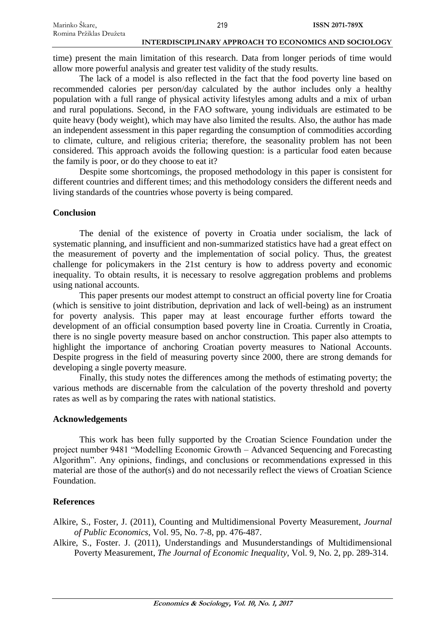time) present the main limitation of this research. Data from longer periods of time would allow more powerful analysis and greater test validity of the study results.

The lack of a model is also reflected in the fact that the food poverty line based on recommended calories per person/day calculated by the author includes only a healthy population with a full range of physical activity lifestyles among adults and a mix of urban and rural populations. Second, in the FAO software, young individuals are estimated to be quite heavy (body weight), which may have also limited the results. Also, the author has made an independent assessment in this paper regarding the consumption of commodities according to climate, culture, and religious criteria; therefore, the seasonality problem has not been considered. This approach avoids the following question: is a particular food eaten because the family is poor, or do they choose to eat it?

Despite some shortcomings, the proposed methodology in this paper is consistent for different countries and different times; and this methodology considers the different needs and living standards of the countries whose poverty is being compared.

# **Conclusion**

The denial of the existence of poverty in Croatia under socialism, the lack of systematic planning, and insufficient and non-summarized statistics have had a great effect on the measurement of poverty and the implementation of social policy. Thus, the greatest challenge for policymakers in the 21st century is how to address poverty and economic inequality. To obtain results, it is necessary to resolve aggregation problems and problems using national accounts.

This paper presents our modest attempt to construct an official poverty line for Croatia (which is sensitive to joint distribution, deprivation and lack of well-being) as an instrument for poverty analysis. This paper may at least encourage further efforts toward the development of an official consumption based poverty line in Croatia. Currently in Croatia, there is no single poverty measure based on anchor construction. This paper also attempts to highlight the importance of anchoring Croatian poverty measures to National Accounts. Despite progress in the field of measuring poverty since 2000, there are strong demands for developing a single poverty measure.

Finally, this study notes the differences among the methods of estimating poverty; the various methods are discernable from the calculation of the poverty threshold and poverty rates as well as by comparing the rates with national statistics.

# **Acknowledgements**

This work has been fully supported by the Croatian Science Foundation under the project number 9481 "Modelling Economic Growth – Advanced Sequencing and Forecasting Algorithm". Any opinions, findings, and conclusions or recommendations expressed in this material are those of the author(s) and do not necessarily reflect the views of Croatian Science Foundation.

# **References**

Alkire, S., Foster, J. (2011), Counting and Multidimensional Poverty Measurement, *Journal of Public Economics*, Vol. 95, No. 7-8, pp. 476-487.

Alkire, S., Foster. J. (2011), Understandings and Musunderstandings of Multidimensional Poverty Measurement, *The Journal of Economic Inequality*, Vol. 9, No. 2, pp. 289-314.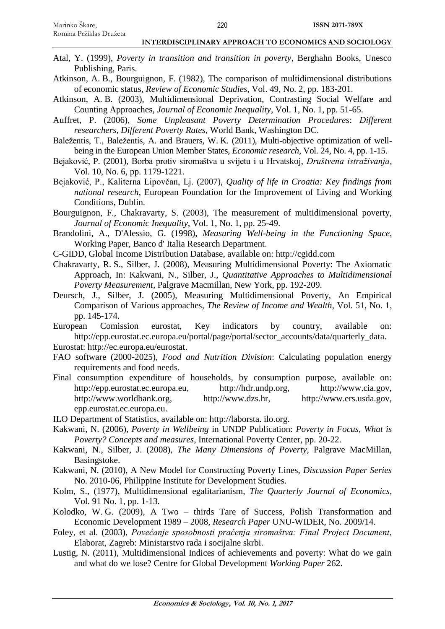- Atal, Y. (1999), *Poverty in transition and transition in poverty*, Berghahn Books, Unesco Publishing, Paris.
- Atkinson, A. B., Bourguignon, F. (1982), The comparison of multidimensional distributions of economic status, *Review of Economic Studies*, Vol. 49, No. 2, pp. 183-201.
- Atkinson, A. B. (2003), Multidimensional Deprivation, Contrasting Social Welfare and Counting Approaches, *Journal of Economic Inequality*, Vol. 1, No. 1, pp. 51-65.
- Auffret, P. (2006), *Some Unpleasant Poverty Determination Procedures*: *Different researchers, Different Poverty Rates*, World Bank, Washington DC.
- Baležentis, T., Baležentis, A. and Brauers, W. K. (2011), Multi-objective optimization of wellbeing in the European Union Member States, *Economic research*, Vol. 24, No. 4, pp. 1-15.
- Bejaković, P. (2001), Borba protiv siromaštva u svijetu i u Hrvatskoj, *Društvena istraživanja,* Vol. 10, No. 6, pp. 1179-1221.
- Bejaković, P., Kaliterna Lipovčan, Lj. (2007), *Quality of life in Croatia: Key findings from national research*, European Foundation for the Improvement of Living and Working Conditions, Dublin.
- Bourguignon, F., Chakravarty, S. (2003), The measurement of multidimensional poverty, *Journal of Economic Inequality*, Vol. 1, No. 1, pp. 25-49.
- Brandolini, A., D'Alessio, G. (1998), *Measuring Well-being in the Functioning Space*, Working Paper, Banco d' Italia Research Department.
- C-GIDD, Global Income Distribution Database, available on: http://cgidd.com
- Chakravarty, R. S., Silber, J. (2008), Measuring Multidimensional Poverty: The Axiomatic Approach, In: Kakwani, N., Silber, J., *Quantitative Approaches to Multidimensional Poverty Measurement*, Palgrave Macmillan, New York, pp. 192-209.
- Deursch, J., Silber, J. (2005), Measuring Multidimensional Poverty, An Empirical Comparison of Various approaches, *The Review of Income and Wealth*, Vol. 51, No. 1, pp. 145-174.
- European Comission eurostat, Key indicators by country, available on: [http://epp.eurostat.ec.europa.eu/portal/page/portal/sector\\_accounts/data/quarterly\\_data.](http://epp.eurostat.ec.europa.eu/portal/page/portal/sector_accounts/data/quarterly_data)
- Eurostat: http://ec.europa.eu/eurostat.
- FAO software (2000-2025), *Food and Nutrition Division*: Calculating population energy requirements and food needs.
- Final consumption expenditure of households, by consumption purpose, available on: [http://epp.eurostat.ec.europa.eu,](http://epp.eurostat.ec.europa.eu/) [http://hdr.undp.org,](http://hdr.undp.org/) [http://www.cia.gov,](http://www.cia.gov/) [http://www.worldbank.org,](http://www.worldbank.org/) [http://www.dzs.hr,](http://www.dzs.hr/) [http://www.ers.usda.gov,](http://www.ers.usda.gov/) epp.eurostat.ec.europa.eu.
- ILO Department of Statistics, available on: [http://laborsta. ilo.org.](http://laborsta.ilo.org/)
- Kakwani, N. (2006), *Poverty in Wellbeing* in UNDP Publication: *Poverty in Focus, What is Poverty? Concepts and measures*, International Poverty Center, pp. 20-22.
- Kakwani, N., Silber, J. (2008), *The Many Dimensions of Poverty*, Palgrave MacMillan, Basingstoke.
- Kakwani, N. (2010), A New Model for Constructing Poverty Lines, *Discussion Paper Series*  No. 2010-06, Philippine Institute for Development Studies.
- Kolm, S., (1977), Multidimensional egalitarianism, *The Quarterly Journal of Economics*, Vol. 91 No. 1, pp. 1-13.
- Kolodko, W. G. (2009), A Two thirds Tare of Success, Polish Transformation and Economic Development 1989 – 2008, *Research Paper* UNU-WIDER, No. 2009/14.
- Foley, et al. (2003), *Povećanje sposobnosti praćenja siromaštva: Final Project Document*, Elaborat, Zagreb: Ministarstvo rada i socijalne skrbi.
- Lustig, N. (2011), Multidimensional Indices of achievements and poverty: What do we gain and what do we lose? Centre for Global Development *Working Paper* 262.